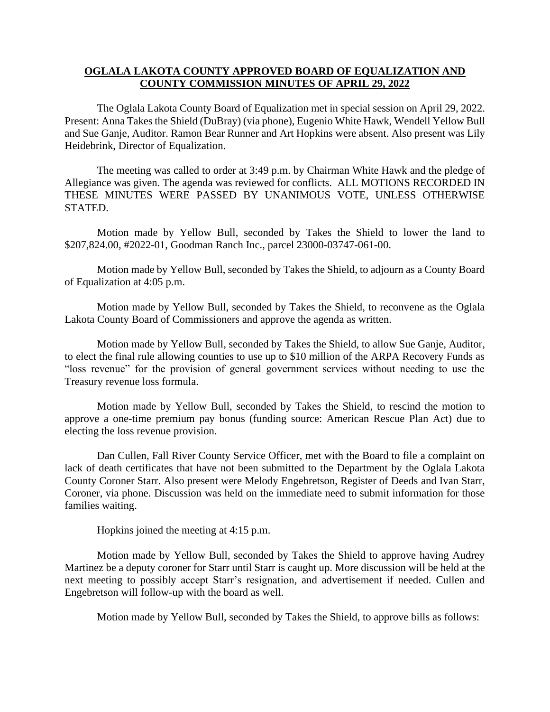## **OGLALA LAKOTA COUNTY APPROVED BOARD OF EQUALIZATION AND COUNTY COMMISSION MINUTES OF APRIL 29, 2022**

The Oglala Lakota County Board of Equalization met in special session on April 29, 2022. Present: Anna Takes the Shield (DuBray) (via phone), Eugenio White Hawk, Wendell Yellow Bull and Sue Ganje, Auditor. Ramon Bear Runner and Art Hopkins were absent. Also present was Lily Heidebrink, Director of Equalization.

The meeting was called to order at 3:49 p.m. by Chairman White Hawk and the pledge of Allegiance was given. The agenda was reviewed for conflicts. ALL MOTIONS RECORDED IN THESE MINUTES WERE PASSED BY UNANIMOUS VOTE, UNLESS OTHERWISE STATED.

Motion made by Yellow Bull, seconded by Takes the Shield to lower the land to \$207,824.00, #2022-01, Goodman Ranch Inc., parcel 23000-03747-061-00.

Motion made by Yellow Bull, seconded by Takes the Shield, to adjourn as a County Board of Equalization at 4:05 p.m.

Motion made by Yellow Bull, seconded by Takes the Shield, to reconvene as the Oglala Lakota County Board of Commissioners and approve the agenda as written.

Motion made by Yellow Bull, seconded by Takes the Shield, to allow Sue Ganje, Auditor, to elect the final rule allowing counties to use up to \$10 million of the ARPA Recovery Funds as "loss revenue" for the provision of general government services without needing to use the Treasury revenue loss formula.

Motion made by Yellow Bull, seconded by Takes the Shield, to rescind the motion to approve a one-time premium pay bonus (funding source: American Rescue Plan Act) due to electing the loss revenue provision.

Dan Cullen, Fall River County Service Officer, met with the Board to file a complaint on lack of death certificates that have not been submitted to the Department by the Oglala Lakota County Coroner Starr. Also present were Melody Engebretson, Register of Deeds and Ivan Starr, Coroner, via phone. Discussion was held on the immediate need to submit information for those families waiting.

Hopkins joined the meeting at 4:15 p.m.

Motion made by Yellow Bull, seconded by Takes the Shield to approve having Audrey Martinez be a deputy coroner for Starr until Starr is caught up. More discussion will be held at the next meeting to possibly accept Starr's resignation, and advertisement if needed. Cullen and Engebretson will follow-up with the board as well.

Motion made by Yellow Bull, seconded by Takes the Shield, to approve bills as follows: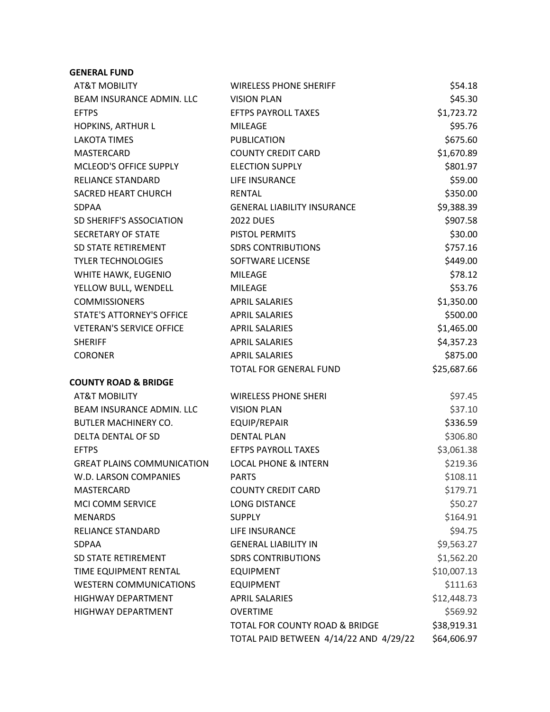## **GENERAL FUND**

| <b>AT&amp;T MOBILITY</b>          | <b>WIRELESS PHONE SHERIFF</b>             | \$54.18     |
|-----------------------------------|-------------------------------------------|-------------|
| BEAM INSURANCE ADMIN. LLC         | <b>VISION PLAN</b>                        | \$45.30     |
| <b>EFTPS</b>                      | <b>EFTPS PAYROLL TAXES</b>                | \$1,723.72  |
| HOPKINS, ARTHUR L                 | <b>MILEAGE</b>                            | \$95.76     |
| <b>LAKOTA TIMES</b>               | <b>PUBLICATION</b>                        | \$675.60    |
| MASTERCARD                        | <b>COUNTY CREDIT CARD</b>                 | \$1,670.89  |
| MCLEOD'S OFFICE SUPPLY            | <b>ELECTION SUPPLY</b>                    | \$801.97    |
| RELIANCE STANDARD                 | LIFE INSURANCE                            | \$59.00     |
| SACRED HEART CHURCH               | <b>RENTAL</b>                             | \$350.00    |
| SDPAA                             | <b>GENERAL LIABILITY INSURANCE</b>        | \$9,388.39  |
| SD SHERIFF'S ASSOCIATION          | <b>2022 DUES</b>                          | \$907.58    |
| SECRETARY OF STATE                | PISTOL PERMITS                            | \$30.00     |
| SD STATE RETIREMENT               | <b>SDRS CONTRIBUTIONS</b>                 | \$757.16    |
| <b>TYLER TECHNOLOGIES</b>         | <b>SOFTWARE LICENSE</b>                   | \$449.00    |
| WHITE HAWK, EUGENIO               | <b>MILEAGE</b>                            | \$78.12     |
| YELLOW BULL, WENDELL              | <b>MILEAGE</b>                            | \$53.76     |
| <b>COMMISSIONERS</b>              | <b>APRIL SALARIES</b>                     | \$1,350.00  |
| <b>STATE'S ATTORNEY'S OFFICE</b>  | <b>APRIL SALARIES</b>                     | \$500.00    |
| <b>VETERAN'S SERVICE OFFICE</b>   | <b>APRIL SALARIES</b>                     | \$1,465.00  |
| <b>SHERIFF</b>                    | <b>APRIL SALARIES</b>                     | \$4,357.23  |
| <b>CORONER</b>                    | <b>APRIL SALARIES</b>                     | \$875.00    |
|                                   | TOTAL FOR GENERAL FUND                    | \$25,687.66 |
| <b>COUNTY ROAD &amp; BRIDGE</b>   |                                           |             |
| <b>AT&amp;T MOBILITY</b>          | <b>WIRELESS PHONE SHERI</b>               | \$97.45     |
| BEAM INSURANCE ADMIN. LLC         | <b>VISION PLAN</b>                        | \$37.10     |
| <b>BUTLER MACHINERY CO.</b>       | EQUIP/REPAIR                              | \$336.59    |
| DELTA DENTAL OF SD                | <b>DENTAL PLAN</b>                        | \$306.80    |
| <b>EFTPS</b>                      | <b>EFTPS PAYROLL TAXES</b>                | \$3,061.38  |
| <b>GREAT PLAINS COMMUNICATION</b> | <b>LOCAL PHONE &amp; INTERN</b>           | \$219.36    |
| W.D. LARSON COMPANIES             | <b>PARTS</b>                              | \$108.11    |
| MASTERCARD                        | <b>COUNTY CREDIT CARD</b>                 | \$179.71    |
| MCI COMM SERVICE                  | <b>LONG DISTANCE</b>                      | \$50.27     |
| <b>MENARDS</b>                    | <b>SUPPLY</b>                             | \$164.91    |
| RELIANCE STANDARD                 | LIFE INSURANCE                            | \$94.75     |
| <b>SDPAA</b>                      | <b>GENERAL LIABILITY IN</b>               | \$9,563.27  |
| SD STATE RETIREMENT               | <b>SDRS CONTRIBUTIONS</b>                 | \$1,562.20  |
| TIME EQUIPMENT RENTAL             | <b>EQUIPMENT</b>                          | \$10,007.13 |
| <b>WESTERN COMMUNICATIONS</b>     | <b>EQUIPMENT</b>                          | \$111.63    |
| <b>HIGHWAY DEPARTMENT</b>         | <b>APRIL SALARIES</b>                     | \$12,448.73 |
| <b>HIGHWAY DEPARTMENT</b>         | <b>OVERTIME</b>                           | \$569.92    |
|                                   | <b>TOTAL FOR COUNTY ROAD &amp; BRIDGE</b> | \$38,919.31 |
|                                   | TOTAL PAID BETWEEN 4/14/22 AND 4/29/22    | \$64,606.97 |